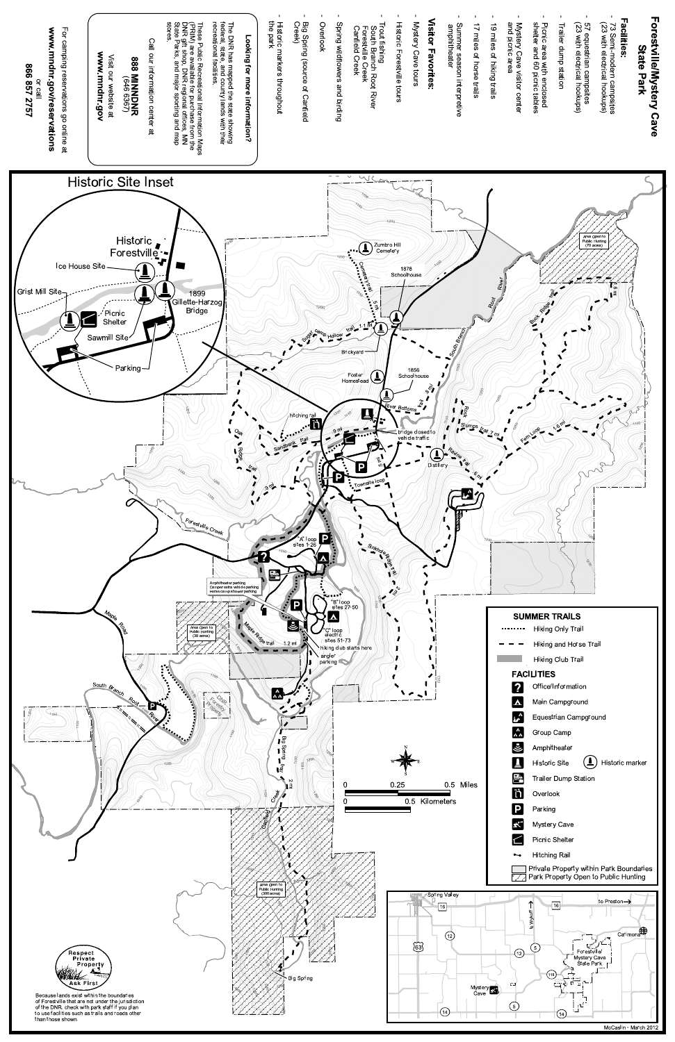